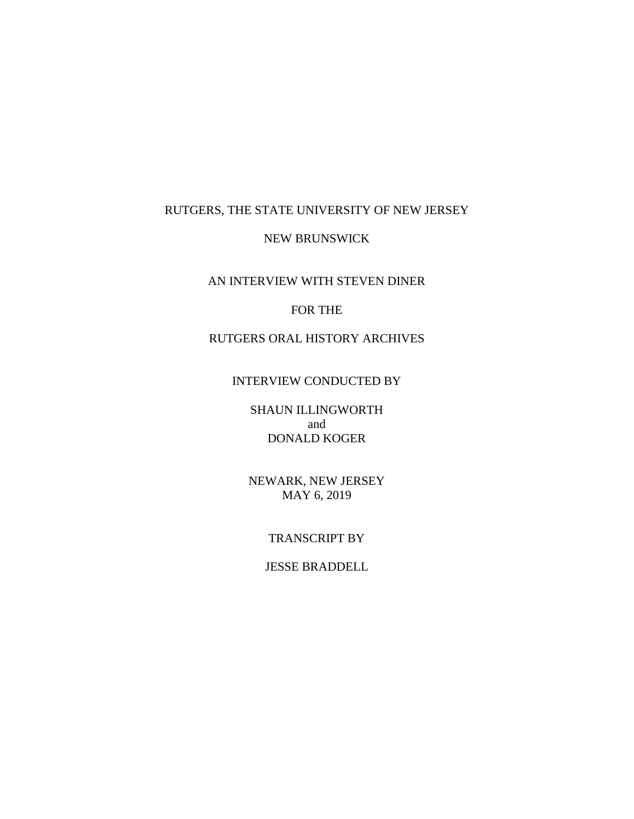## RUTGERS, THE STATE UNIVERSITY OF NEW JERSEY

## NEW BRUNSWICK

AN INTERVIEW WITH STEVEN DINER

## FOR THE

# RUTGERS ORAL HISTORY ARCHIVES

## INTERVIEW CONDUCTED BY

SHAUN ILLINGWORTH and DONALD KOGER

NEWARK, NEW JERSEY MAY 6, 2019

### TRANSCRIPT BY

## JESSE BRADDELL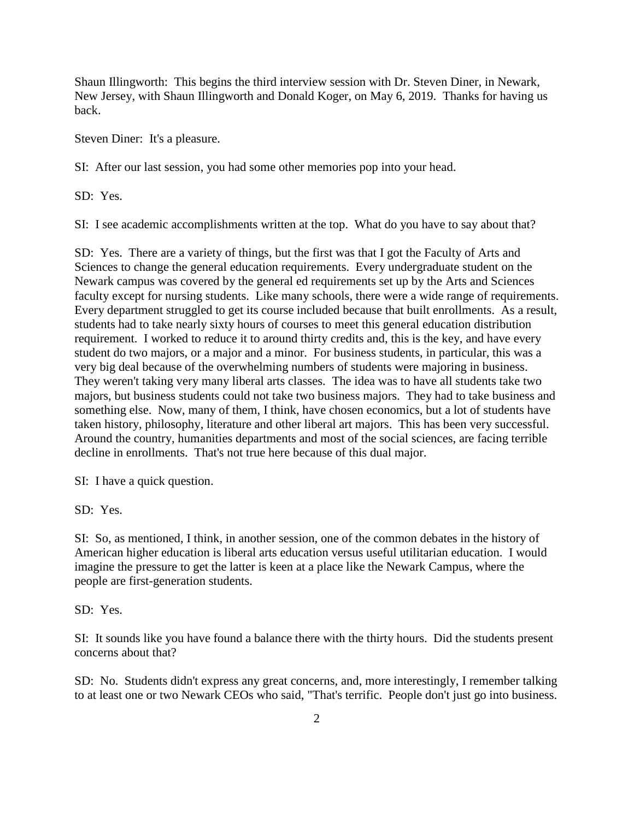Shaun Illingworth: This begins the third interview session with Dr. Steven Diner, in Newark, New Jersey, with Shaun Illingworth and Donald Koger, on May 6, 2019. Thanks for having us back.

Steven Diner: It's a pleasure.

SI: After our last session, you had some other memories pop into your head.

SD: Yes.

SI: I see academic accomplishments written at the top. What do you have to say about that?

SD: Yes. There are a variety of things, but the first was that I got the Faculty of Arts and Sciences to change the general education requirements. Every undergraduate student on the Newark campus was covered by the general ed requirements set up by the Arts and Sciences faculty except for nursing students. Like many schools, there were a wide range of requirements. Every department struggled to get its course included because that built enrollments. As a result, students had to take nearly sixty hours of courses to meet this general education distribution requirement. I worked to reduce it to around thirty credits and, this is the key, and have every student do two majors, or a major and a minor. For business students, in particular, this was a very big deal because of the overwhelming numbers of students were majoring in business. They weren't taking very many liberal arts classes. The idea was to have all students take two majors, but business students could not take two business majors. They had to take business and something else. Now, many of them, I think, have chosen economics, but a lot of students have taken history, philosophy, literature and other liberal art majors. This has been very successful. Around the country, humanities departments and most of the social sciences, are facing terrible decline in enrollments. That's not true here because of this dual major.

SI: I have a quick question.

SD: Yes.

SI: So, as mentioned, I think, in another session, one of the common debates in the history of American higher education is liberal arts education versus useful utilitarian education. I would imagine the pressure to get the latter is keen at a place like the Newark Campus, where the people are first-generation students.

SD: Yes.

SI: It sounds like you have found a balance there with the thirty hours. Did the students present concerns about that?

SD: No. Students didn't express any great concerns, and, more interestingly, I remember talking to at least one or two Newark CEOs who said, "That's terrific. People don't just go into business.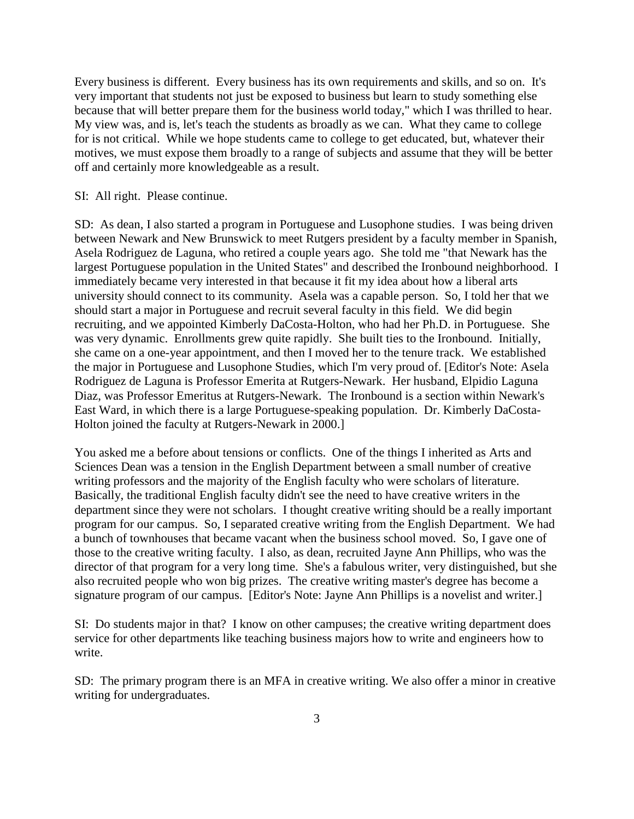Every business is different. Every business has its own requirements and skills, and so on. It's very important that students not just be exposed to business but learn to study something else because that will better prepare them for the business world today," which I was thrilled to hear. My view was, and is, let's teach the students as broadly as we can. What they came to college for is not critical. While we hope students came to college to get educated, but, whatever their motives, we must expose them broadly to a range of subjects and assume that they will be better off and certainly more knowledgeable as a result.

SI: All right. Please continue.

SD: As dean, I also started a program in Portuguese and Lusophone studies. I was being driven between Newark and New Brunswick to meet Rutgers president by a faculty member in Spanish, Asela Rodriguez de Laguna, who retired a couple years ago. She told me "that Newark has the largest Portuguese population in the United States" and described the Ironbound neighborhood. I immediately became very interested in that because it fit my idea about how a liberal arts university should connect to its community. Asela was a capable person. So, I told her that we should start a major in Portuguese and recruit several faculty in this field. We did begin recruiting, and we appointed Kimberly DaCosta-Holton, who had her Ph.D. in Portuguese. She was very dynamic. Enrollments grew quite rapidly. She built ties to the Ironbound. Initially, she came on a one-year appointment, and then I moved her to the tenure track. We established the major in Portuguese and Lusophone Studies, which I'm very proud of. [Editor's Note: Asela Rodriguez de Laguna is Professor Emerita at Rutgers-Newark. Her husband, Elpidio Laguna Diaz, was Professor Emeritus at Rutgers-Newark. The Ironbound is a section within Newark's East Ward, in which there is a large Portuguese-speaking population. Dr. Kimberly DaCosta-Holton joined the faculty at Rutgers-Newark in 2000.]

You asked me a before about tensions or conflicts. One of the things I inherited as Arts and Sciences Dean was a tension in the English Department between a small number of creative writing professors and the majority of the English faculty who were scholars of literature. Basically, the traditional English faculty didn't see the need to have creative writers in the department since they were not scholars. I thought creative writing should be a really important program for our campus. So, I separated creative writing from the English Department. We had a bunch of townhouses that became vacant when the business school moved. So, I gave one of those to the creative writing faculty. I also, as dean, recruited Jayne Ann Phillips, who was the director of that program for a very long time. She's a fabulous writer, very distinguished, but she also recruited people who won big prizes. The creative writing master's degree has become a signature program of our campus. [Editor's Note: Jayne Ann Phillips is a novelist and writer.]

SI: Do students major in that? I know on other campuses; the creative writing department does service for other departments like teaching business majors how to write and engineers how to write.

SD: The primary program there is an MFA in creative writing. We also offer a minor in creative writing for undergraduates.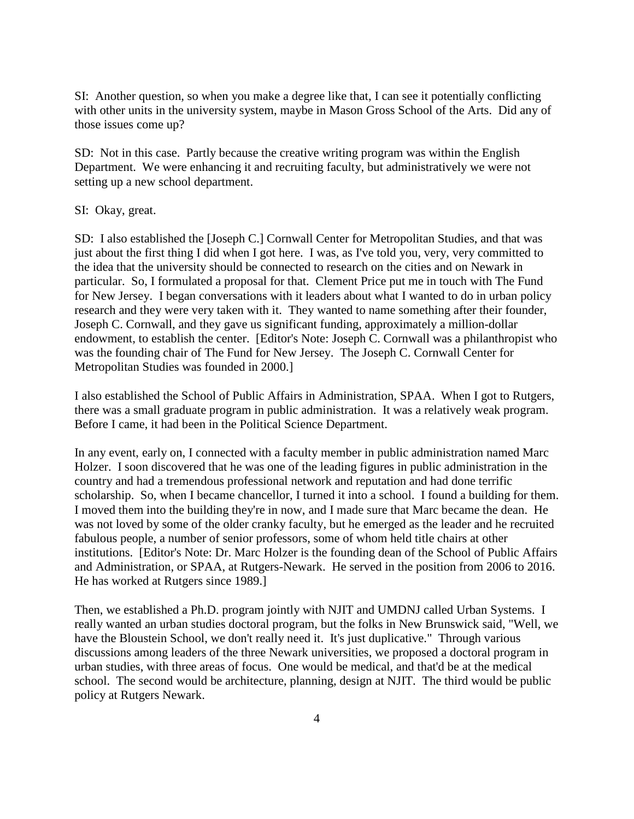SI: Another question, so when you make a degree like that, I can see it potentially conflicting with other units in the university system, maybe in Mason Gross School of the Arts. Did any of those issues come up?

SD: Not in this case. Partly because the creative writing program was within the English Department. We were enhancing it and recruiting faculty, but administratively we were not setting up a new school department.

#### SI: Okay, great.

SD: I also established the [Joseph C.] Cornwall Center for Metropolitan Studies, and that was just about the first thing I did when I got here. I was, as I've told you, very, very committed to the idea that the university should be connected to research on the cities and on Newark in particular. So, I formulated a proposal for that. Clement Price put me in touch with The Fund for New Jersey. I began conversations with it leaders about what I wanted to do in urban policy research and they were very taken with it. They wanted to name something after their founder, Joseph C. Cornwall, and they gave us significant funding, approximately a million-dollar endowment, to establish the center. [Editor's Note: Joseph C. Cornwall was a philanthropist who was the founding chair of The Fund for New Jersey. The Joseph C. Cornwall Center for Metropolitan Studies was founded in 2000.]

I also established the School of Public Affairs in Administration, SPAA. When I got to Rutgers, there was a small graduate program in public administration. It was a relatively weak program. Before I came, it had been in the Political Science Department.

In any event, early on, I connected with a faculty member in public administration named Marc Holzer. I soon discovered that he was one of the leading figures in public administration in the country and had a tremendous professional network and reputation and had done terrific scholarship. So, when I became chancellor, I turned it into a school. I found a building for them. I moved them into the building they're in now, and I made sure that Marc became the dean. He was not loved by some of the older cranky faculty, but he emerged as the leader and he recruited fabulous people, a number of senior professors, some of whom held title chairs at other institutions. [Editor's Note: Dr. Marc Holzer is the founding dean of the School of Public Affairs and Administration, or SPAA, at Rutgers-Newark. He served in the position from 2006 to 2016. He has worked at Rutgers since 1989.]

Then, we established a Ph.D. program jointly with NJIT and UMDNJ called Urban Systems. I really wanted an urban studies doctoral program, but the folks in New Brunswick said, "Well, we have the Bloustein School, we don't really need it. It's just duplicative." Through various discussions among leaders of the three Newark universities, we proposed a doctoral program in urban studies, with three areas of focus. One would be medical, and that'd be at the medical school. The second would be architecture, planning, design at NJIT. The third would be public policy at Rutgers Newark.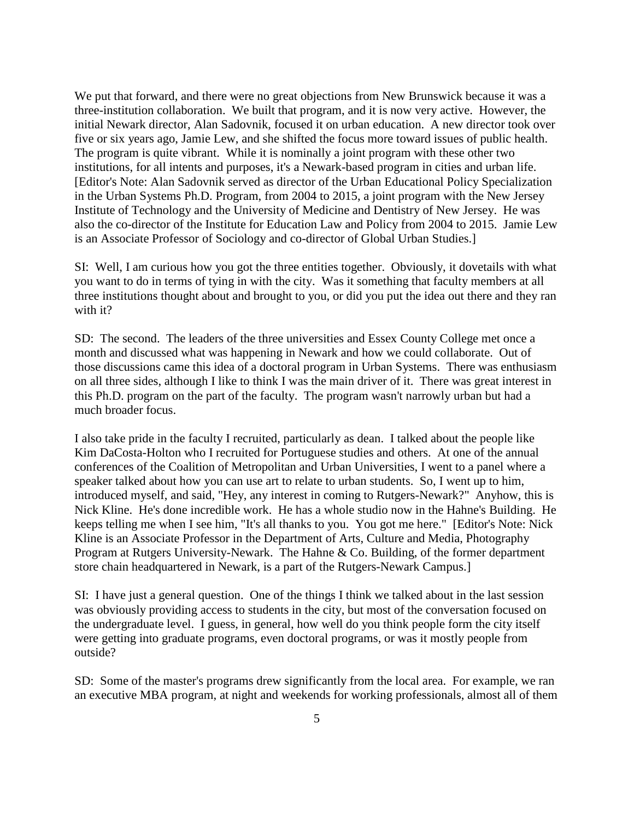We put that forward, and there were no great objections from New Brunswick because it was a three-institution collaboration. We built that program, and it is now very active. However, the initial Newark director, Alan Sadovnik, focused it on urban education. A new director took over five or six years ago, Jamie Lew, and she shifted the focus more toward issues of public health. The program is quite vibrant. While it is nominally a joint program with these other two institutions, for all intents and purposes, it's a Newark-based program in cities and urban life. [Editor's Note: Alan Sadovnik served as director of the Urban Educational Policy Specialization in the Urban Systems Ph.D. Program, from 2004 to 2015, a joint program with the New Jersey Institute of Technology and the University of Medicine and Dentistry of New Jersey. He was also the co-director of the Institute for Education Law and Policy from 2004 to 2015. Jamie Lew is an Associate Professor of Sociology and co-director of Global Urban Studies.]

SI: Well, I am curious how you got the three entities together. Obviously, it dovetails with what you want to do in terms of tying in with the city. Was it something that faculty members at all three institutions thought about and brought to you, or did you put the idea out there and they ran with it?

SD: The second. The leaders of the three universities and Essex County College met once a month and discussed what was happening in Newark and how we could collaborate. Out of those discussions came this idea of a doctoral program in Urban Systems. There was enthusiasm on all three sides, although I like to think I was the main driver of it. There was great interest in this Ph.D. program on the part of the faculty. The program wasn't narrowly urban but had a much broader focus.

I also take pride in the faculty I recruited, particularly as dean. I talked about the people like Kim DaCosta-Holton who I recruited for Portuguese studies and others. At one of the annual conferences of the Coalition of Metropolitan and Urban Universities, I went to a panel where a speaker talked about how you can use art to relate to urban students. So, I went up to him, introduced myself, and said, "Hey, any interest in coming to Rutgers-Newark?" Anyhow, this is Nick Kline. He's done incredible work. He has a whole studio now in the Hahne's Building. He keeps telling me when I see him, "It's all thanks to you. You got me here." [Editor's Note: Nick Kline is an Associate Professor in the Department of Arts, Culture and Media, Photography Program at Rutgers University-Newark. The Hahne & Co. Building, of the former department store chain headquartered in Newark, is a part of the Rutgers-Newark Campus.]

SI: I have just a general question. One of the things I think we talked about in the last session was obviously providing access to students in the city, but most of the conversation focused on the undergraduate level. I guess, in general, how well do you think people form the city itself were getting into graduate programs, even doctoral programs, or was it mostly people from outside?

SD: Some of the master's programs drew significantly from the local area. For example, we ran an executive MBA program, at night and weekends for working professionals, almost all of them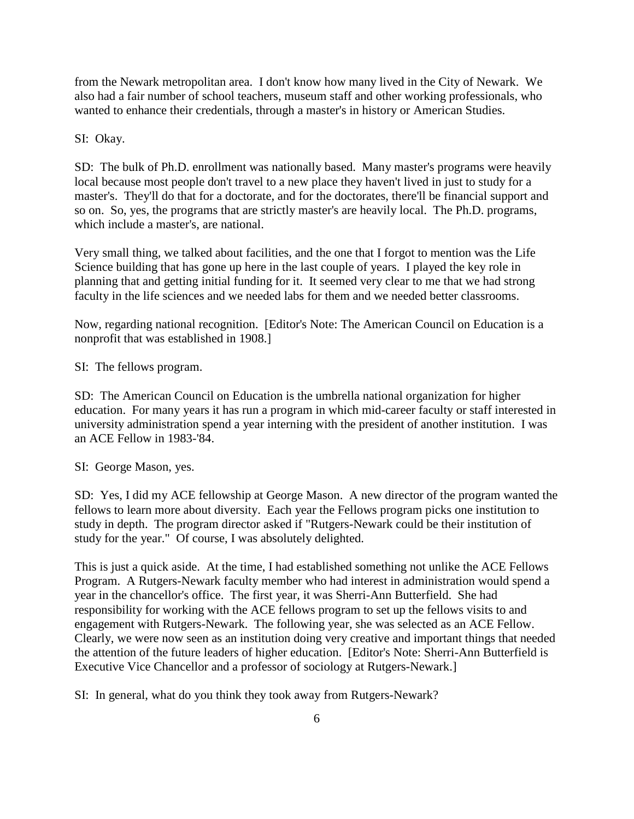from the Newark metropolitan area. I don't know how many lived in the City of Newark. We also had a fair number of school teachers, museum staff and other working professionals, who wanted to enhance their credentials, through a master's in history or American Studies.

#### SI: Okay.

SD: The bulk of Ph.D. enrollment was nationally based. Many master's programs were heavily local because most people don't travel to a new place they haven't lived in just to study for a master's. They'll do that for a doctorate, and for the doctorates, there'll be financial support and so on. So, yes, the programs that are strictly master's are heavily local. The Ph.D. programs, which include a master's, are national.

Very small thing, we talked about facilities, and the one that I forgot to mention was the Life Science building that has gone up here in the last couple of years. I played the key role in planning that and getting initial funding for it. It seemed very clear to me that we had strong faculty in the life sciences and we needed labs for them and we needed better classrooms.

Now, regarding national recognition. [Editor's Note: The American Council on Education is a nonprofit that was established in 1908.]

SI: The fellows program.

SD: The American Council on Education is the umbrella national organization for higher education. For many years it has run a program in which mid-career faculty or staff interested in university administration spend a year interning with the president of another institution. I was an ACE Fellow in 1983-'84.

SI: George Mason, yes.

SD: Yes, I did my ACE fellowship at George Mason. A new director of the program wanted the fellows to learn more about diversity. Each year the Fellows program picks one institution to study in depth. The program director asked if "Rutgers-Newark could be their institution of study for the year." Of course, I was absolutely delighted.

This is just a quick aside. At the time, I had established something not unlike the ACE Fellows Program. A Rutgers-Newark faculty member who had interest in administration would spend a year in the chancellor's office. The first year, it was Sherri-Ann Butterfield. She had responsibility for working with the ACE fellows program to set up the fellows visits to and engagement with Rutgers-Newark. The following year, she was selected as an ACE Fellow. Clearly, we were now seen as an institution doing very creative and important things that needed the attention of the future leaders of higher education. [Editor's Note: Sherri-Ann Butterfield is Executive Vice Chancellor and a professor of sociology at Rutgers-Newark.]

SI: In general, what do you think they took away from Rutgers-Newark?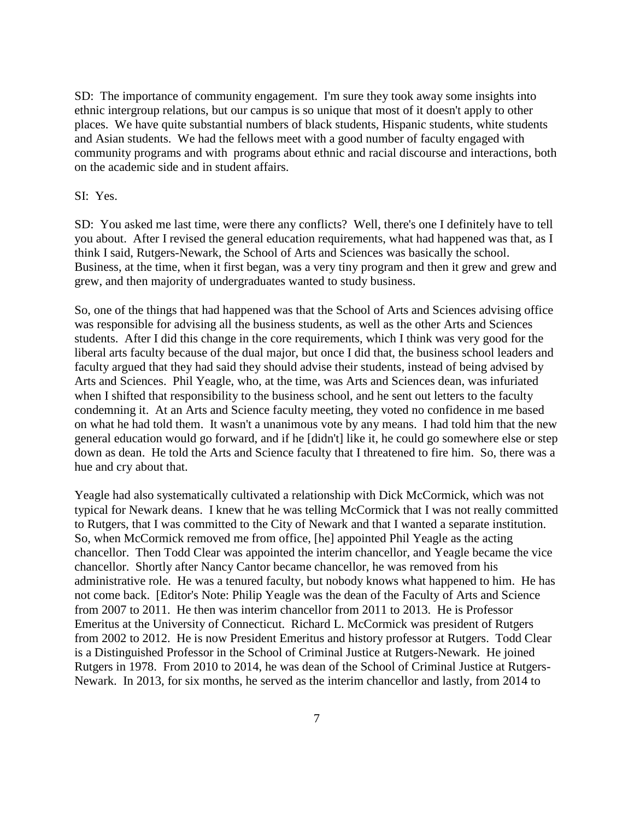SD: The importance of community engagement. I'm sure they took away some insights into ethnic intergroup relations, but our campus is so unique that most of it doesn't apply to other places. We have quite substantial numbers of black students, Hispanic students, white students and Asian students. We had the fellows meet with a good number of faculty engaged with community programs and with programs about ethnic and racial discourse and interactions, both on the academic side and in student affairs.

## SI: Yes.

SD: You asked me last time, were there any conflicts? Well, there's one I definitely have to tell you about. After I revised the general education requirements, what had happened was that, as I think I said, Rutgers-Newark, the School of Arts and Sciences was basically the school. Business, at the time, when it first began, was a very tiny program and then it grew and grew and grew, and then majority of undergraduates wanted to study business.

So, one of the things that had happened was that the School of Arts and Sciences advising office was responsible for advising all the business students, as well as the other Arts and Sciences students. After I did this change in the core requirements, which I think was very good for the liberal arts faculty because of the dual major, but once I did that, the business school leaders and faculty argued that they had said they should advise their students, instead of being advised by Arts and Sciences. Phil Yeagle, who, at the time, was Arts and Sciences dean, was infuriated when I shifted that responsibility to the business school, and he sent out letters to the faculty condemning it. At an Arts and Science faculty meeting, they voted no confidence in me based on what he had told them. It wasn't a unanimous vote by any means. I had told him that the new general education would go forward, and if he [didn't] like it, he could go somewhere else or step down as dean. He told the Arts and Science faculty that I threatened to fire him. So, there was a hue and cry about that.

Yeagle had also systematically cultivated a relationship with Dick McCormick, which was not typical for Newark deans. I knew that he was telling McCormick that I was not really committed to Rutgers, that I was committed to the City of Newark and that I wanted a separate institution. So, when McCormick removed me from office, [he] appointed Phil Yeagle as the acting chancellor. Then Todd Clear was appointed the interim chancellor, and Yeagle became the vice chancellor. Shortly after Nancy Cantor became chancellor, he was removed from his administrative role. He was a tenured faculty, but nobody knows what happened to him. He has not come back. [Editor's Note: Philip Yeagle was the dean of the Faculty of Arts and Science from 2007 to 2011. He then was interim chancellor from 2011 to 2013. He is Professor Emeritus at the University of Connecticut. Richard L. McCormick was president of Rutgers from 2002 to 2012. He is now President Emeritus and history professor at Rutgers. Todd Clear is a Distinguished Professor in the School of Criminal Justice at Rutgers-Newark. He joined Rutgers in 1978. From 2010 to 2014, he was dean of the School of Criminal Justice at Rutgers-Newark. In 2013, for six months, he served as the interim chancellor and lastly, from 2014 to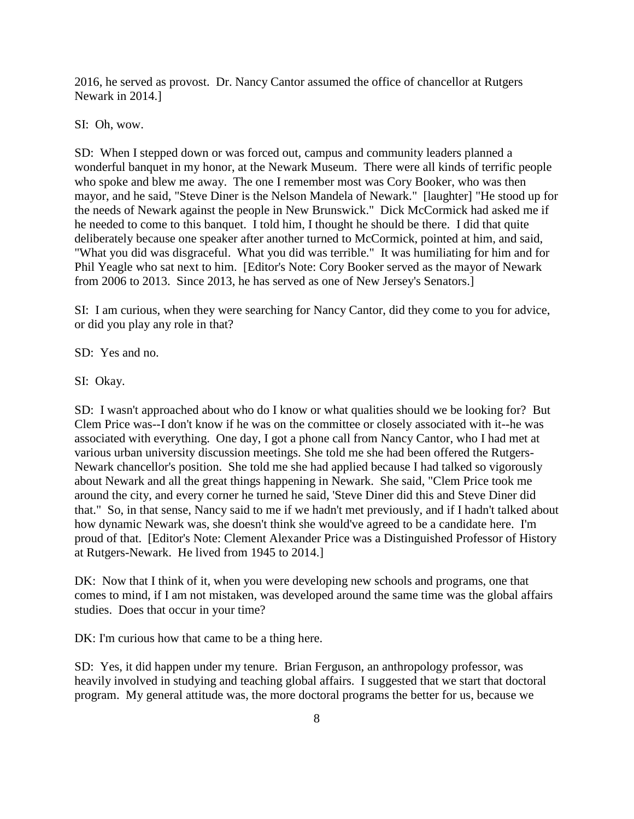2016, he served as provost. Dr. Nancy Cantor assumed the office of chancellor at Rutgers Newark in 2014.]

SI: Oh, wow.

SD: When I stepped down or was forced out, campus and community leaders planned a wonderful banquet in my honor, at the Newark Museum. There were all kinds of terrific people who spoke and blew me away. The one I remember most was Cory Booker, who was then mayor, and he said, "Steve Diner is the Nelson Mandela of Newark." [laughter] "He stood up for the needs of Newark against the people in New Brunswick." Dick McCormick had asked me if he needed to come to this banquet. I told him, I thought he should be there. I did that quite deliberately because one speaker after another turned to McCormick, pointed at him, and said, "What you did was disgraceful. What you did was terrible." It was humiliating for him and for Phil Yeagle who sat next to him. [Editor's Note: Cory Booker served as the mayor of Newark from 2006 to 2013. Since 2013, he has served as one of New Jersey's Senators.]

SI: I am curious, when they were searching for Nancy Cantor, did they come to you for advice, or did you play any role in that?

SD: Yes and no.

SI: Okay.

SD: I wasn't approached about who do I know or what qualities should we be looking for? But Clem Price was--I don't know if he was on the committee or closely associated with it--he was associated with everything. One day, I got a phone call from Nancy Cantor, who I had met at various urban university discussion meetings. She told me she had been offered the Rutgers-Newark chancellor's position. She told me she had applied because I had talked so vigorously about Newark and all the great things happening in Newark. She said, "Clem Price took me around the city, and every corner he turned he said, 'Steve Diner did this and Steve Diner did that." So, in that sense, Nancy said to me if we hadn't met previously, and if I hadn't talked about how dynamic Newark was, she doesn't think she would've agreed to be a candidate here. I'm proud of that. [Editor's Note: Clement Alexander Price was a Distinguished Professor of History at Rutgers-Newark. He lived from 1945 to 2014.]

DK: Now that I think of it, when you were developing new schools and programs, one that comes to mind, if I am not mistaken, was developed around the same time was the global affairs studies. Does that occur in your time?

DK: I'm curious how that came to be a thing here.

SD: Yes, it did happen under my tenure. Brian Ferguson, an anthropology professor, was heavily involved in studying and teaching global affairs. I suggested that we start that doctoral program. My general attitude was, the more doctoral programs the better for us, because we